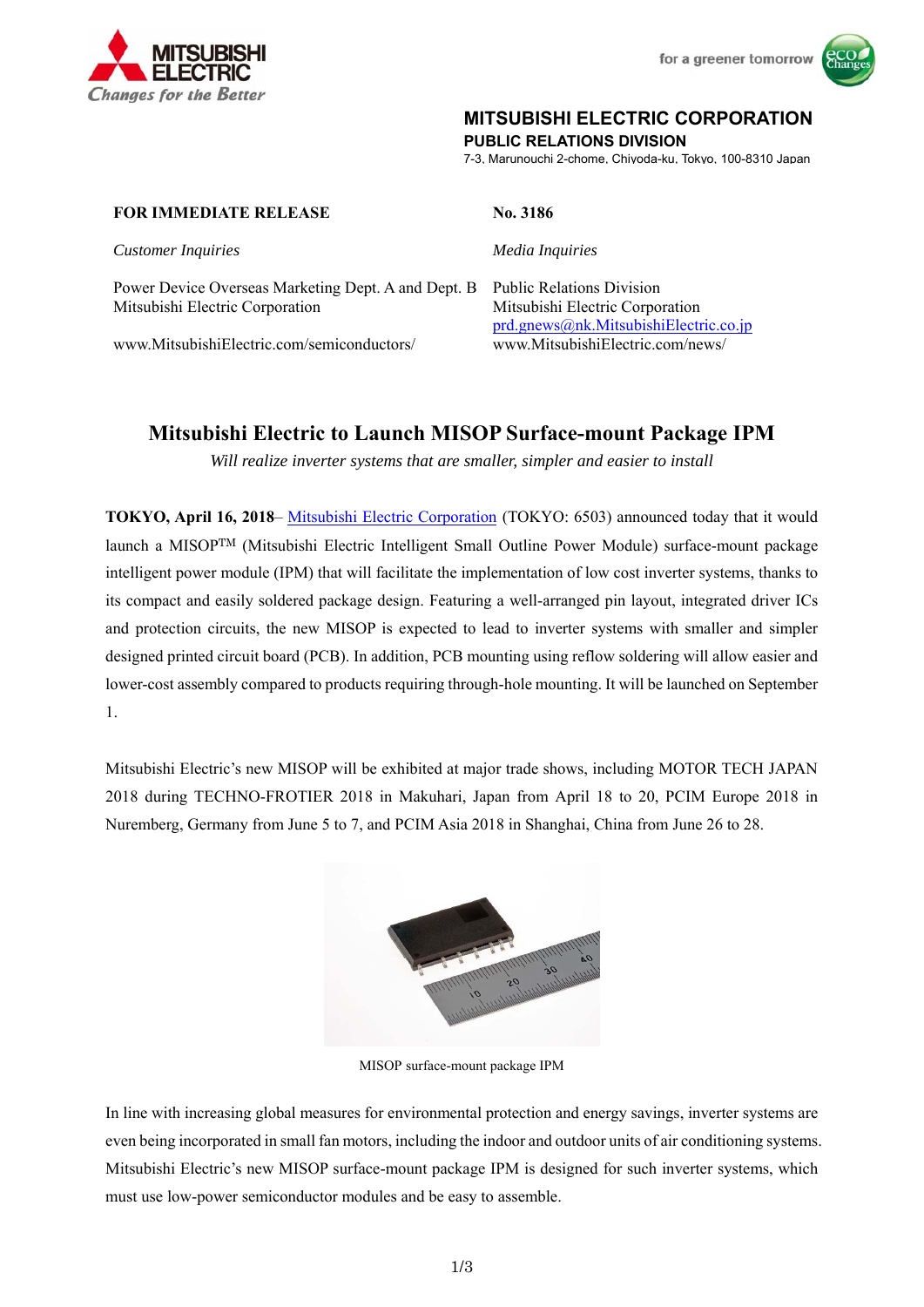



# **MITSUBISHI ELECTRIC CORPORATION**

**PUBLIC RELATIONS DIVISION** 

7-3, Marunouchi 2-chome, Chiyoda-ku, Tokyo, 100-8310 Japan

#### **FOR IMMEDIATE RELEASE No. 3186**

*Customer Inquiries Media Inquiries*

Power Device Overseas Marketing Dept. A and Dept. B Public Relations Division Mitsubishi Electric Corporation Mitsubishi Electric Corporation

www.MitsubishiElectric.com/semiconductors/ www.MitsubishiElectric.com/news/

prd.gnews@nk.MitsubishiElectric.co.jp

# **Mitsubishi Electric to Launch MISOP Surface-mount Package IPM**

*Will realize inverter systems that are smaller, simpler and easier to install* 

**TOKYO, April 16, 2018**– Mitsubishi Electric Corporation (TOKYO: 6503) announced today that it would launch a MISOPTM (Mitsubishi Electric Intelligent Small Outline Power Module) surface-mount package intelligent power module (IPM) that will facilitate the implementation of low cost inverter systems, thanks to its compact and easily soldered package design. Featuring a well-arranged pin layout, integrated driver ICs and protection circuits, the new MISOP is expected to lead to inverter systems with smaller and simpler designed printed circuit board (PCB). In addition, PCB mounting using reflow soldering will allow easier and lower-cost assembly compared to products requiring through-hole mounting. It will be launched on September 1.

Mitsubishi Electric's new MISOP will be exhibited at major trade shows, including MOTOR TECH JAPAN 2018 during TECHNO-FROTIER 2018 in Makuhari, Japan from April 18 to 20, PCIM Europe 2018 in Nuremberg, Germany from June 5 to 7, and PCIM Asia 2018 in Shanghai, China from June 26 to 28.



MISOP surface-mount package IPM

In line with increasing global measures for environmental protection and energy savings, inverter systems are even being incorporated in small fan motors, including the indoor and outdoor units of air conditioning systems. Mitsubishi Electric's new MISOP surface-mount package IPM is designed for such inverter systems, which must use low-power semiconductor modules and be easy to assemble.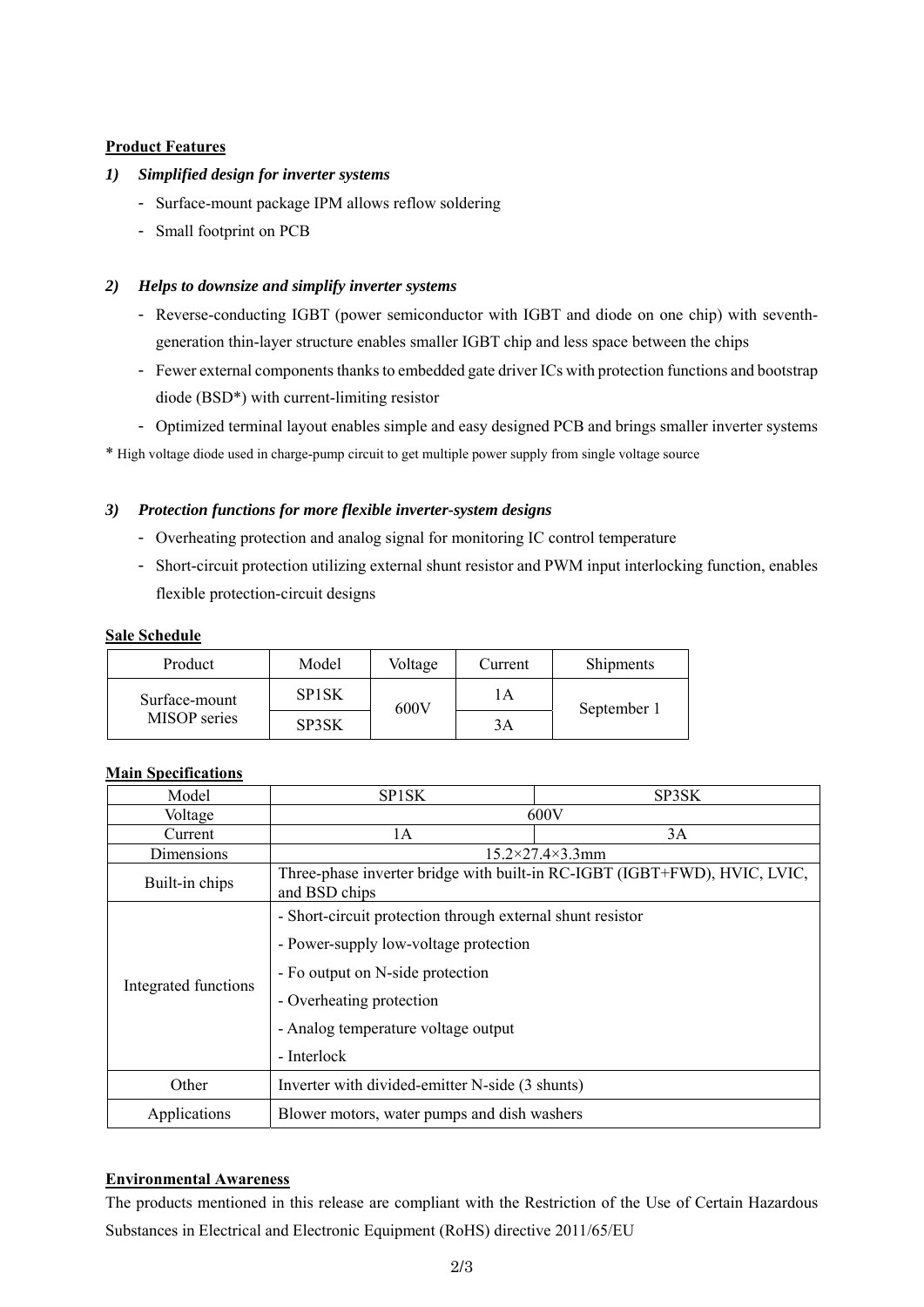## **Product Features**

### *1) Simplified design for inverter systems*

- Surface-mount package IPM allows reflow soldering
- Small footprint on PCB

## *2) Helps to downsize and simplify inverter systems*

- Reverse-conducting IGBT (power semiconductor with IGBT and diode on one chip) with seventhgeneration thin-layer structure enables smaller IGBT chip and less space between the chips
- Fewer external components thanks to embedded gate driver ICs with protection functions and bootstrap diode (BSD\*) with current-limiting resistor
- Optimized terminal layout enables simple and easy designed PCB and brings smaller inverter systems

\* High voltage diode used in charge-pump circuit to get multiple power supply from single voltage source

#### *3) Protection functions for more flexible inverter-system designs*

- Overheating protection and analog signal for monitoring IC control temperature
- Short-circuit protection utilizing external shunt resistor and PWM input interlocking function, enables flexible protection-circuit designs

#### **Sale Schedule**

| Product                       | Model        | Voltage | Current | Shipments   |
|-------------------------------|--------------|---------|---------|-------------|
| Surface-mount<br>MISOP series | <b>SP1SK</b> | 600V    | ' A     | September 1 |
|                               | SP3SK        |         | 3Α      |             |

## **Main Specifications**

| Model                | <b>SPISK</b>                                                                               | SP3SK |  |
|----------------------|--------------------------------------------------------------------------------------------|-------|--|
| Voltage              | 600V                                                                                       |       |  |
| Current              | 1A                                                                                         | 3A    |  |
| Dimensions           | $15.2 \times 27.4 \times 3.3$ mm                                                           |       |  |
| Built-in chips       | Three-phase inverter bridge with built-in RC-IGBT (IGBT+FWD), HVIC, LVIC,<br>and BSD chips |       |  |
| Integrated functions | - Short-circuit protection through external shunt resistor                                 |       |  |
|                      | - Power-supply low-voltage protection                                                      |       |  |
|                      | - Fo output on N-side protection                                                           |       |  |
|                      | - Overheating protection                                                                   |       |  |
|                      | - Analog temperature voltage output                                                        |       |  |
|                      | - Interlock                                                                                |       |  |
| Other                | Inverter with divided-emitter N-side (3 shunts)                                            |       |  |
| Applications         | Blower motors, water pumps and dish washers                                                |       |  |

#### **Environmental Awareness**

The products mentioned in this release are compliant with the Restriction of the Use of Certain Hazardous Substances in Electrical and Electronic Equipment (RoHS) directive 2011/65/EU